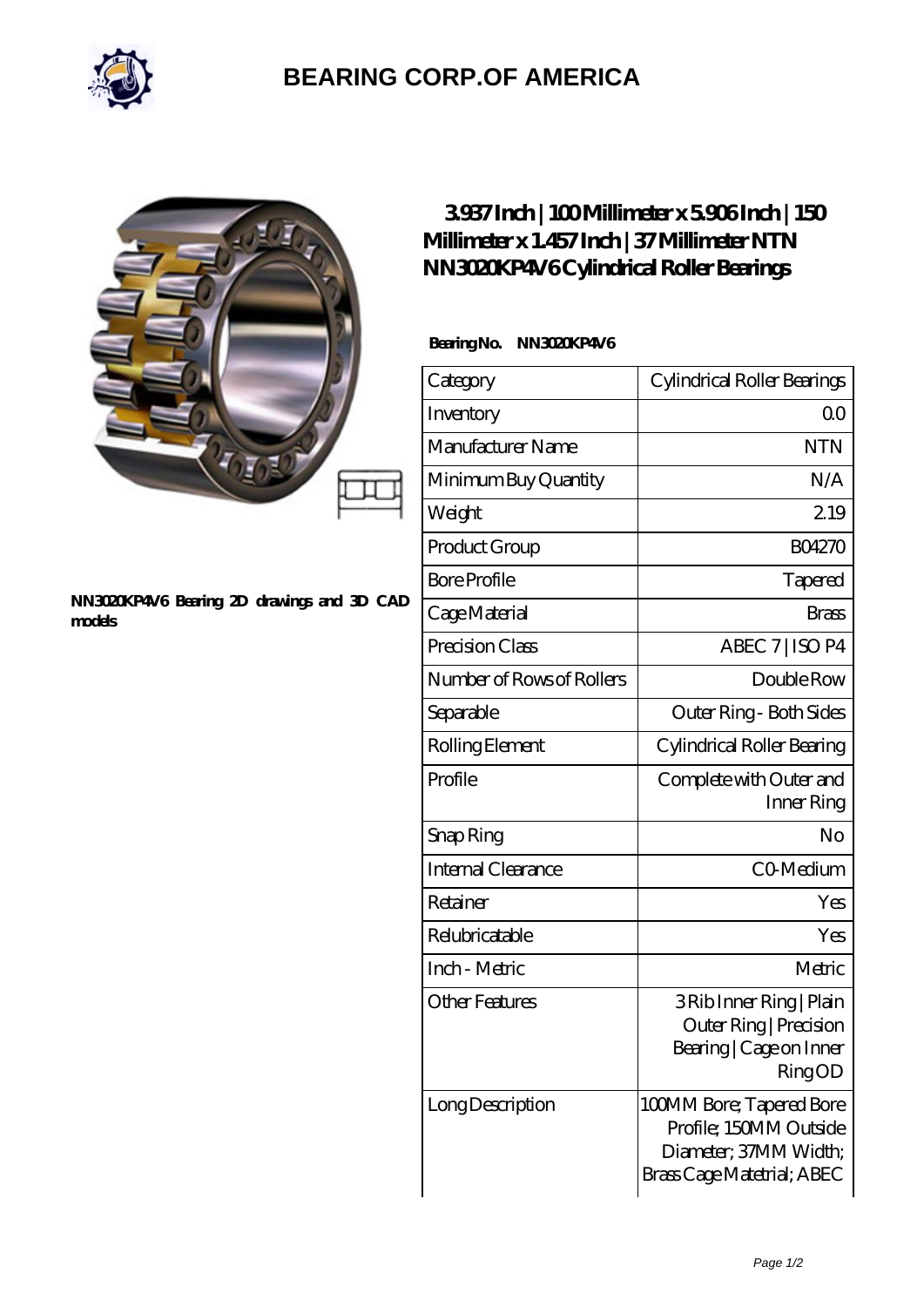

## **[BEARING CORP.OF AMERICA](https://bluemondayreview.com)**

#### **[NN3020KP4V6 Bearing 2D drawings and 3D CAD](https://bluemondayreview.com/pic-174971.html) [models](https://bluemondayreview.com/pic-174971.html)**

### **[3.937 Inch | 100 Millimeter x 5.906 Inch | 150](https://bluemondayreview.com/af-174971-ntn-nn3020kp4v6-cylindrical-roller-bearings.html) [Millimeter x 1.457 Inch | 37 Millimeter NTN](https://bluemondayreview.com/af-174971-ntn-nn3020kp4v6-cylindrical-roller-bearings.html) [NN3020KP4V6 Cylindrical Roller Bearings](https://bluemondayreview.com/af-174971-ntn-nn3020kp4v6-cylindrical-roller-bearings.html)**

### Bearing No. NN3020KP4V6

| Category                  | Cylindrical Roller Bearings                                                                               |
|---------------------------|-----------------------------------------------------------------------------------------------------------|
| Inventory                 | 0 <sup>0</sup>                                                                                            |
| Manufacturer Name         | <b>NTN</b>                                                                                                |
| Minimum Buy Quantity      | N/A                                                                                                       |
| Weight                    | 219                                                                                                       |
| Product Group             | <b>BO4270</b>                                                                                             |
| <b>Bore Profile</b>       | Tapered                                                                                                   |
| Cage Material             | <b>Brass</b>                                                                                              |
| Precision Class           | ABEC 7   ISO P4                                                                                           |
| Number of Rows of Rollers | Double Row                                                                                                |
| Separable                 | Outer Ring - Both Sides                                                                                   |
| Rolling Element           | Cylindrical Roller Bearing                                                                                |
| Profile                   | Complete with Outer and<br>Inner Ring                                                                     |
| Snap Ring                 | No                                                                                                        |
| Internal Clearance        | CO-Medium                                                                                                 |
| Retainer                  | Yes                                                                                                       |
| Relubricatable            | Yes                                                                                                       |
| Inch - Metric             | Metric                                                                                                    |
| <b>Other Features</b>     | 3 Rib Inner Ring   Plain<br>Outer Ring   Precision<br>Bearing   Cage on Inner<br>RingOD                   |
| Long Description          | 100MM Bore; Tapered Bore<br>Profile; 150MM Outside<br>Diameter; 37MM Width;<br>Brass Cage Matetrial; ABEC |